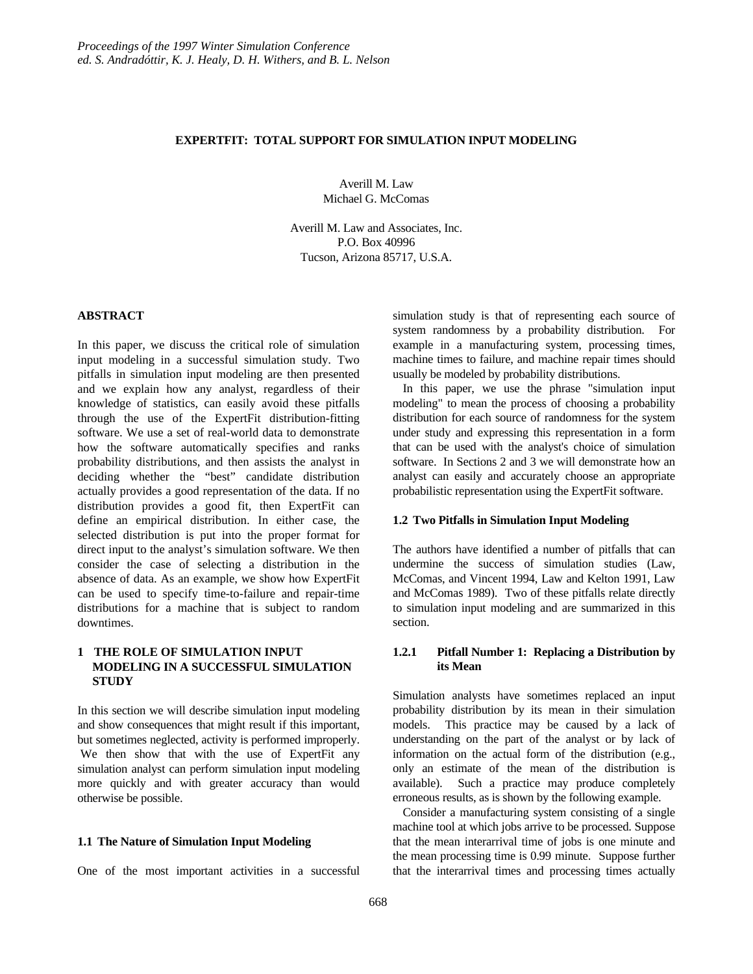#### **EXPERTFIT: TOTAL SUPPORT FOR SIMULATION INPUT MODELING**

Averill M. Law Michael G. McComas

Averill M. Law and Associates, Inc. P.O. Box 40996 Tucson, Arizona 85717, U.S.A.

#### **ABSTRACT**

In this paper, we discuss the critical role of simulation input modeling in a successful simulation study. Two pitfalls in simulation input modeling are then presented and we explain how any analyst, regardless of their knowledge of statistics, can easily avoid these pitfalls through the use of the ExpertFit distribution-fitting software. We use a set of real-world data to demonstrate how the software automatically specifies and ranks probability distributions, and then assists the analyst in deciding whether the "best" candidate distribution actually provides a good representation of the data. If no distribution provides a good fit, then ExpertFit can define an empirical distribution. In either case, the selected distribution is put into the proper format for direct input to the analyst's simulation software. We then consider the case of selecting a distribution in the absence of data. As an example, we show how ExpertFit can be used to specify time-to-failure and repair-time distributions for a machine that is subject to random downtimes.

## **1 THE ROLE OF SIMULATION INPUT MODELING IN A SUCCESSFUL SIMULATION STUDY**

In this section we will describe simulation input modeling and show consequences that might result if this important, but sometimes neglected, activity is performed improperly. We then show that with the use of ExpertFit any simulation analyst can perform simulation input modeling more quickly and with greater accuracy than would otherwise be possible.

#### **1.1 The Nature of Simulation Input Modeling**

One of the most important activities in a successful

simulation study is that of representing each source of system randomness by a probability distribution. For example in a manufacturing system, processing times, machine times to failure, and machine repair times should usually be modeled by probability distributions.

In this paper, we use the phrase "simulation input modeling" to mean the process of choosing a probability distribution for each source of randomness for the system under study and expressing this representation in a form that can be used with the analyst's choice of simulation software. In Sections 2 and 3 we will demonstrate how an analyst can easily and accurately choose an appropriate probabilistic representation using the ExpertFit software.

#### **1.2 Two Pitfalls in Simulation Input Modeling**

The authors have identified a number of pitfalls that can undermine the success of simulation studies (Law, McComas, and Vincent 1994, Law and Kelton 1991, Law and McComas 1989). Two of these pitfalls relate directly to simulation input modeling and are summarized in this section.

## **1.2.1 Pitfall Number 1: Replacing a Distribution by its Mean**

Simulation analysts have sometimes replaced an input probability distribution by its mean in their simulation models. This practice may be caused by a lack of understanding on the part of the analyst or by lack of information on the actual form of the distribution (e.g., only an estimate of the mean of the distribution is available). Such a practice may produce completely erroneous results, as is shown by the following example.

Consider a manufacturing system consisting of a single machine tool at which jobs arrive to be processed. Suppose that the mean interarrival time of jobs is one minute and the mean processing time is 0.99 minute. Suppose further that the interarrival times and processing times actually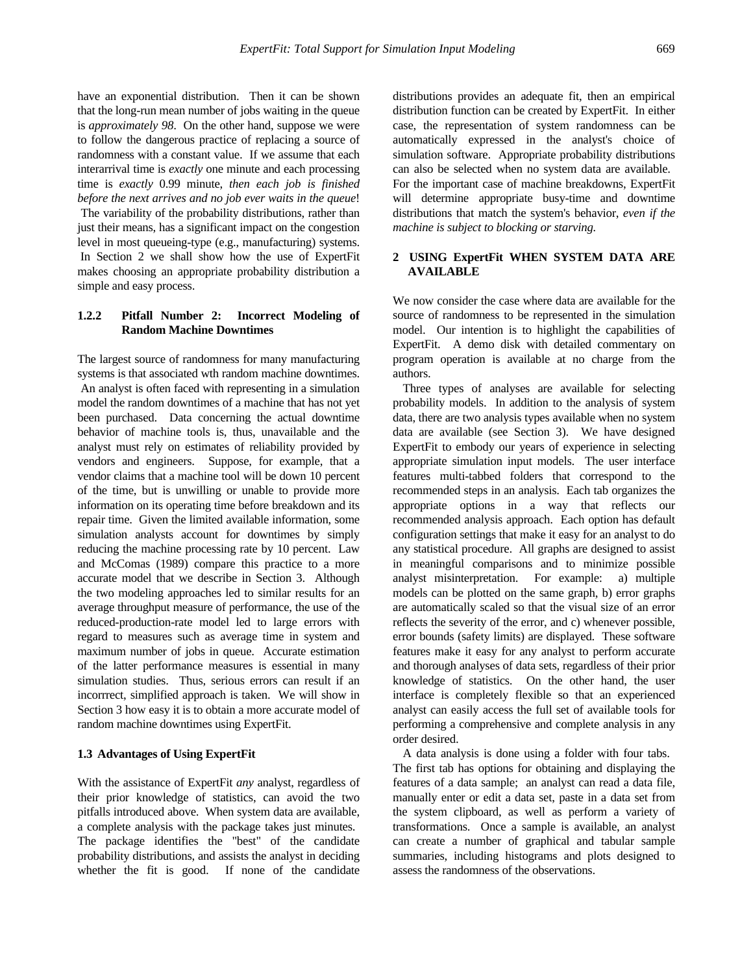have an exponential distribution. Then it can be shown that the long-run mean number of jobs waiting in the queue is *approximately 98*. On the other hand, suppose we were to follow the dangerous practice of replacing a source of randomness with a constant value. If we assume that each interarrival time is *exactly* one minute and each processing time is *exactly* 0.99 minute, *then each job is finished before the next arrives and no job ever waits in the queue*! The variability of the probability distributions, rather than just their means, has a significant impact on the congestion level in most queueing-type (e.g., manufacturing) systems. In Section 2 we shall show how the use of ExpertFit makes choosing an appropriate probability distribution a simple and easy process.

## **1.2.2 Pitfall Number 2: Incorrect Modeling of Random Machine Downtimes**

The largest source of randomness for many manufacturing systems is that associated wth random machine downtimes. An analyst is often faced with representing in a simulation model the random downtimes of a machine that has not yet been purchased. Data concerning the actual downtime behavior of machine tools is, thus, unavailable and the analyst must rely on estimates of reliability provided by vendors and engineers. Suppose, for example, that a vendor claims that a machine tool will be down 10 percent of the time, but is unwilling or unable to provide more information on its operating time before breakdown and its repair time. Given the limited available information, some simulation analysts account for downtimes by simply reducing the machine processing rate by 10 percent. Law and McComas (1989) compare this practice to a more accurate model that we describe in Section 3. Although the two modeling approaches led to similar results for an average throughput measure of performance, the use of the reduced-production-rate model led to large errors with regard to measures such as average time in system and maximum number of jobs in queue. Accurate estimation of the latter performance measures is essential in many simulation studies. Thus, serious errors can result if an incorrrect, simplified approach is taken. We will show in Section 3 how easy it is to obtain a more accurate model of random machine downtimes using ExpertFit.

## **1.3 Advantages of Using ExpertFit**

With the assistance of ExpertFit *any* analyst, regardless of their prior knowledge of statistics, can avoid the two pitfalls introduced above. When system data are available, a complete analysis with the package takes just minutes. The package identifies the "best" of the candidate probability distributions, and assists the analyst in deciding whether the fit is good. If none of the candidate

distributions provides an adequate fit, then an empirical distribution function can be created by ExpertFit. In either case, the representation of system randomness can be automatically expressed in the analyst's choice of simulation software. Appropriate probability distributions can also be selected when no system data are available. For the important case of machine breakdowns, ExpertFit will determine appropriate busy-time and downtime distributions that match the system's behavior, *even if the machine is subject to blocking or starving.*

# **2 USING ExpertFit WHEN SYSTEM DATA ARE AVAILABLE**

We now consider the case where data are available for the source of randomness to be represented in the simulation model. Our intention is to highlight the capabilities of ExpertFit. A demo disk with detailed commentary on program operation is available at no charge from the authors.

Three types of analyses are available for selecting probability models. In addition to the analysis of system data, there are two analysis types available when no system data are available (see Section 3). We have designed ExpertFit to embody our years of experience in selecting appropriate simulation input models. The user interface features multi-tabbed folders that correspond to the recommended steps in an analysis. Each tab organizes the appropriate options in a way that reflects our recommended analysis approach. Each option has default configuration settings that make it easy for an analyst to do any statistical procedure. All graphs are designed to assist in meaningful comparisons and to minimize possible analyst misinterpretation. For example: a) multiple models can be plotted on the same graph, b) error graphs are automatically scaled so that the visual size of an error reflects the severity of the error, and c) whenever possible, error bounds (safety limits) are displayed. These software features make it easy for any analyst to perform accurate and thorough analyses of data sets, regardless of their prior knowledge of statistics. On the other hand, the user interface is completely flexible so that an experienced analyst can easily access the full set of available tools for performing a comprehensive and complete analysis in any order desired.

A data analysis is done using a folder with four tabs. The first tab has options for obtaining and displaying the features of a data sample; an analyst can read a data file, manually enter or edit a data set, paste in a data set from the system clipboard, as well as perform a variety of transformations. Once a sample is available, an analyst can create a number of graphical and tabular sample summaries, including histograms and plots designed to assess the randomness of the observations.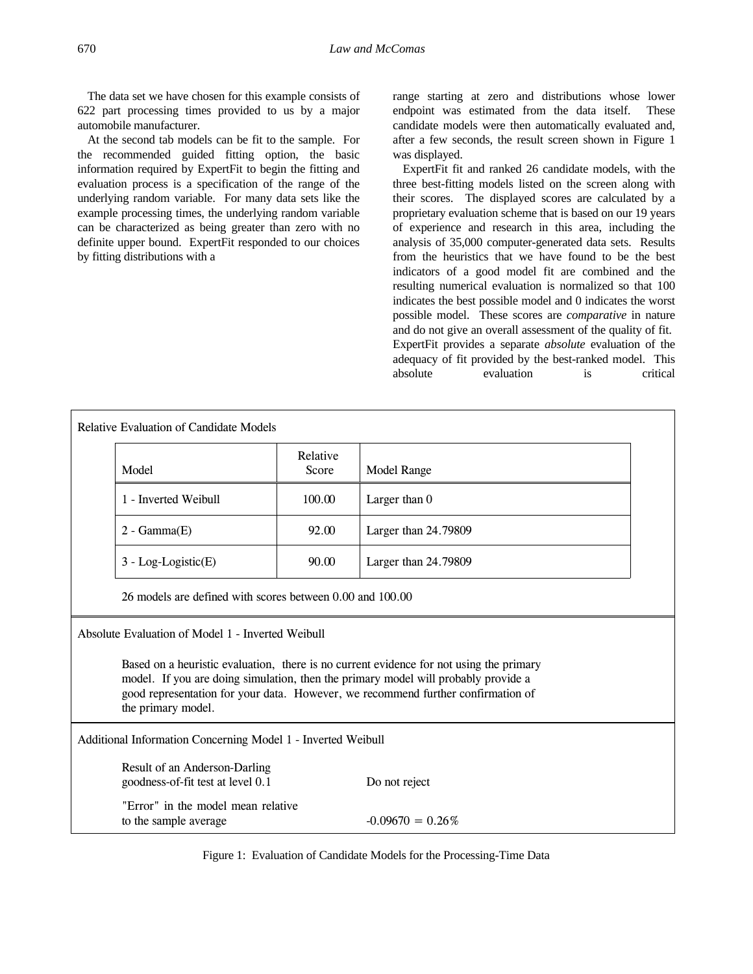The data set we have chosen for this example consists of 622 part processing times provided to us by a major automobile manufacturer.

At the second tab models can be fit to the sample. For the recommended guided fitting option, the basic information required by ExpertFit to begin the fitting and evaluation process is a specification of the range of the underlying random variable. For many data sets like the example processing times, the underlying random variable can be characterized as being greater than zero with no definite upper bound. ExpertFit responded to our choices by fitting distributions with a

range starting at zero and distributions whose lower endpoint was estimated from the data itself. These candidate models were then automatically evaluated and, after a few seconds, the result screen shown in Figure 1 was displayed.

ExpertFit fit and ranked 26 candidate models, with the three best-fitting models listed on the screen along with their scores. The displayed scores are calculated by a proprietary evaluation scheme that is based on our 19 years of experience and research in this area, including the analysis of 35,000 computer-generated data sets. Results from the heuristics that we have found to be the best indicators of a good model fit are combined and the resulting numerical evaluation is normalized so that 100 indicates the best possible model and 0 indicates the worst possible model. These scores are *comparative* in nature and do not give an overall assessment of the quality of fit. ExpertFit provides a separate *absolute* evaluation of the adequacy of fit provided by the best-ranked model. This absolute evaluation is critical

| <b>Relative Evaluation of Candidate Models</b>                                                                                                                                                                                                                                          |                   |                      |  |  |
|-----------------------------------------------------------------------------------------------------------------------------------------------------------------------------------------------------------------------------------------------------------------------------------------|-------------------|----------------------|--|--|
| Model                                                                                                                                                                                                                                                                                   | Relative<br>Score | <b>Model Range</b>   |  |  |
| 1 - Inverted Weibull                                                                                                                                                                                                                                                                    | 100.00            | Larger than 0        |  |  |
| $2 - Gamma(E)$                                                                                                                                                                                                                                                                          | 92.00             | Larger than 24.79809 |  |  |
| 3 - Log-Logistic(E)                                                                                                                                                                                                                                                                     | 90.00             | Larger than 24.79809 |  |  |
| 26 models are defined with scores between 0.00 and 100.00                                                                                                                                                                                                                               |                   |                      |  |  |
| Absolute Evaluation of Model 1 - Inverted Weibull                                                                                                                                                                                                                                       |                   |                      |  |  |
| Based on a heuristic evaluation, there is no current evidence for not using the primary<br>model. If you are doing simulation, then the primary model will probably provide a<br>good representation for your data. However, we recommend further confirmation of<br>the primary model. |                   |                      |  |  |
| Additional Information Concerning Model 1 - Inverted Weibull                                                                                                                                                                                                                            |                   |                      |  |  |
| Result of an Anderson-Darling<br>goodness-of-fit test at level 0.1                                                                                                                                                                                                                      |                   | Do not reject        |  |  |
| "Error" in the model mean relative<br>to the sample average                                                                                                                                                                                                                             |                   | $-0.09670 = 0.26\%$  |  |  |

Figure 1: Evaluation of Candidate Models for the Processing-Time Data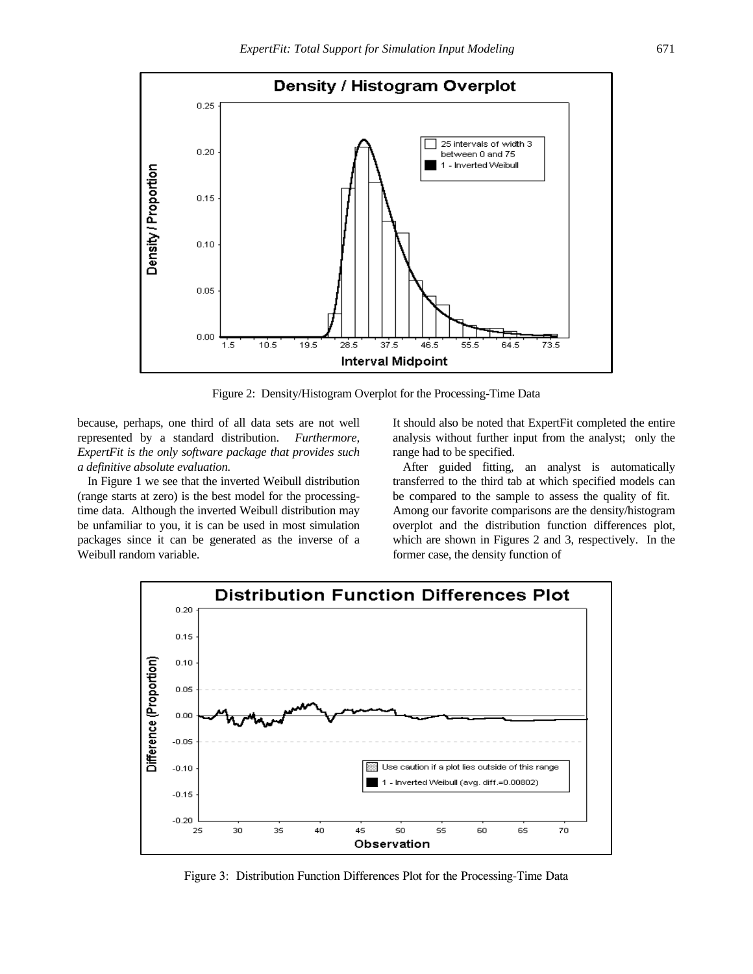

Figure 2: Density/Histogram Overplot for the Processing-Time Data

because, perhaps, one third of all data sets are not well represented by a standard distribution. *Furthermore, ExpertFit is the only software package that provides such a definitive absolute evaluation.*

In Figure 1 we see that the inverted Weibull distribution (range starts at zero) is the best model for the processingtime data. Although the inverted Weibull distribution may be unfamiliar to you, it is can be used in most simulation packages since it can be generated as the inverse of a Weibull random variable.

It should also be noted that ExpertFit completed the entire analysis without further input from the analyst; only the range had to be specified.

After guided fitting, an analyst is automatically transferred to the third tab at which specified models can be compared to the sample to assess the quality of fit. Among our favorite comparisons are the density/histogram overplot and the distribution function differences plot, which are shown in Figures 2 and 3, respectively. In the former case, the density function of



Figure 3: Distribution Function Differences Plot for the Processing-Time Data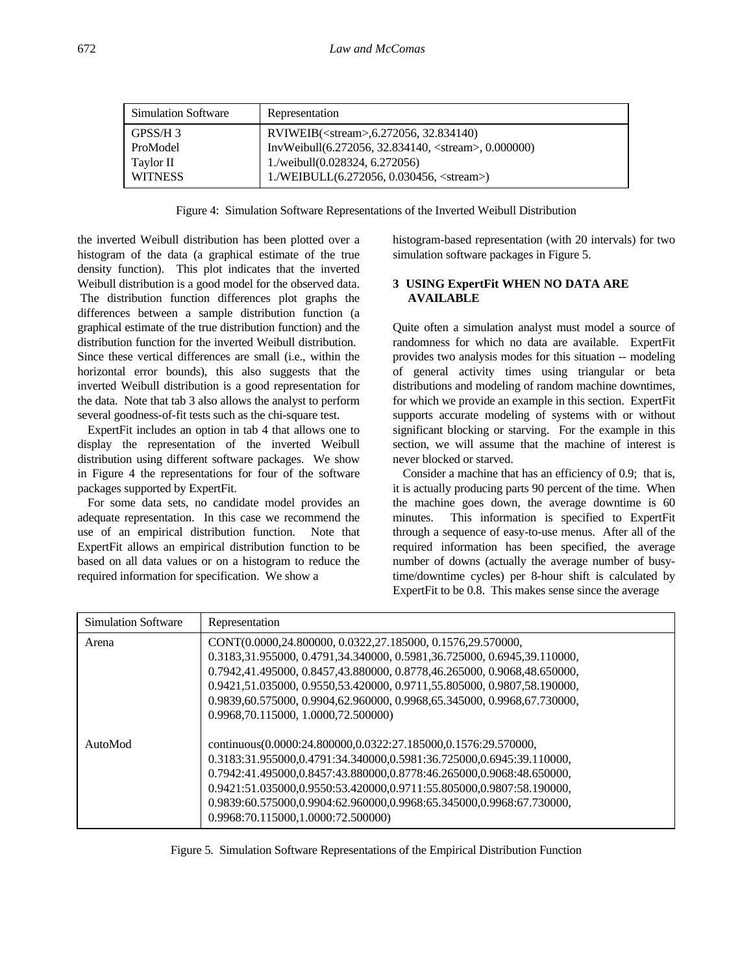| <b>Simulation Software</b> | Representation                                               |
|----------------------------|--------------------------------------------------------------|
| GPSS/H3                    | RVIWEIB( <stream>,6.272056, 32.834140)</stream>              |
| ProModel                   | InvWeibull(6.272056, 32.834140, <stream>, 0.000000)</stream> |
| Taylor II                  | 1./weibull(0.028324, 6.272056)                               |
| <b>WITNESS</b>             | 1./WEIBULL $(6.272056, 0.030456, \text{ stream})$            |

Figure 4: Simulation Software Representations of the Inverted Weibull Distribution

the inverted Weibull distribution has been plotted over a histogram of the data (a graphical estimate of the true density function). This plot indicates that the inverted Weibull distribution is a good model for the observed data. The distribution function differences plot graphs the differences between a sample distribution function (a graphical estimate of the true distribution function) and the distribution function for the inverted Weibull distribution. Since these vertical differences are small (i.e., within the horizontal error bounds), this also suggests that the inverted Weibull distribution is a good representation for the data. Note that tab 3 also allows the analyst to perform several goodness-of-fit tests such as the chi-square test.

ExpertFit includes an option in tab 4 that allows one to display the representation of the inverted Weibull distribution using different software packages. We show in Figure 4 the representations for four of the software packages supported by ExpertFit.

For some data sets, no candidate model provides an adequate representation. In this case we recommend the use of an empirical distribution function. Note that ExpertFit allows an empirical distribution function to be based on all data values or on a histogram to reduce the required information for specification. We show a

histogram-based representation (with 20 intervals) for two simulation software packages in Figure 5.

# **3 USING ExpertFit WHEN NO DATA ARE AVAILABLE**

Quite often a simulation analyst must model a source of randomness for which no data are available. ExpertFit provides two analysis modes for this situation -- modeling of general activity times using triangular or beta distributions and modeling of random machine downtimes, for which we provide an example in this section. ExpertFit supports accurate modeling of systems with or without significant blocking or starving. For the example in this section, we will assume that the machine of interest is never blocked or starved.

Consider a machine that has an efficiency of 0.9; that is, it is actually producing parts 90 percent of the time. When the machine goes down, the average downtime is 60 minutes. This information is specified to ExpertFit through a sequence of easy-to-use menus. After all of the required information has been specified, the average number of downs (actually the average number of busytime/downtime cycles) per 8-hour shift is calculated by ExpertFit to be 0.8. This makes sense since the average

| <b>Simulation Software</b> | Representation                                                                                                                                                                                                                                                                                                                                                                                                |
|----------------------------|---------------------------------------------------------------------------------------------------------------------------------------------------------------------------------------------------------------------------------------------------------------------------------------------------------------------------------------------------------------------------------------------------------------|
| Arena                      | CONT(0.0000,24.800000, 0.0322,27.185000, 0.1576,29.570000,<br>0.3183,31.955000, 0.4791,34.340000, 0.5981,36.725000, 0.6945,39.110000,<br>0.7942,41.495000, 0.8457,43.880000, 0.8778,46.265000, 0.9068,48.650000,<br>0.9421,51.035000, 0.9550,53.420000, 0.9711,55.805000, 0.9807,58.190000,<br>0.9839,60.575000, 0.9904,62.960000, 0.9968,65.345000, 0.9968,67.730000,<br>0.9968,70.115000, 1.0000,72.500000) |
| AutoMod                    | continuous(0.0000:24.800000,0.0322:27.185000,0.1576:29.570000,<br>0.3183:31.955000,0.4791:34.340000,0.5981:36.725000,0.6945:39.110000,<br>0.7942:41.495000,0.8457:43.880000,0.8778:46.265000,0.9068:48.650000,<br>0.9421:51.035000,0.9550:53.420000,0.9711:55.805000,0.9807:58.190000,<br>0.9839:60.575000,0.9904:62.960000,0.9968:65.345000,0.9968:67.730000,<br>0.9968:70.115000,1.0000:72.500000)          |

Figure 5. Simulation Software Representations of the Empirical Distribution Function